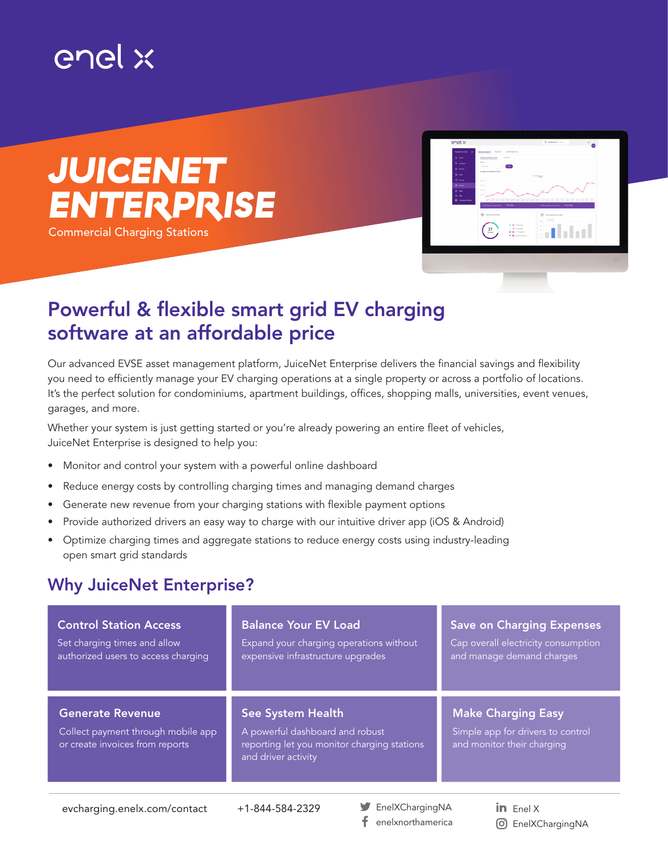# enel x





## Powerful & flexible smart grid EV charging software at an affordable price

Our advanced EVSE asset management platform, JuiceNet Enterprise delivers the financial savings and flexibility you need to efficiently manage your EV charging operations at a single property or across a portfolio of locations. It's the perfect solution for condominiums, apartment buildings, offices, shopping malls, universities, event venues, garages, and more.

Whether your system is just getting started or you're already powering an entire fleet of vehicles, JuiceNet Enterprise is designed to help you:

- Monitor and control your system with a powerful online dashboard
- Reduce energy costs by controlling charging times and managing demand charges
- Generate new revenue from your charging stations with flexible payment options
- Provide authorized drivers an easy way to charge with our intuitive driver app (iOS & Android)
- Optimize charging times and aggregate stations to reduce energy costs using industry-leading open smart grid standards

## Why JuiceNet Enterprise?

| <b>Control Station Access</b>                                                                    | <b>Balance Your EV Load</b>                                                                                                       | <b>Save on Charging Expenses</b>                                                             |
|--------------------------------------------------------------------------------------------------|-----------------------------------------------------------------------------------------------------------------------------------|----------------------------------------------------------------------------------------------|
| Set charging times and allow                                                                     | Expand your charging operations without                                                                                           | Cap overall electricity consumption                                                          |
| authorized users to access charging                                                              | expensive infrastructure upgrades                                                                                                 | and manage demand charges                                                                    |
| <b>Generate Revenue</b><br>Collect payment through mobile app<br>or create invoices from reports | <b>See System Health</b><br>A powerful dashboard and robust<br>reporting let you monitor charging stations<br>and driver activity | <b>Make Charging Easy</b><br>Simple app for drivers to control<br>and monitor their charging |

EnelXChargingNA f. enelxnorthamerica

in Enel  $X$ EnelXChargingNA